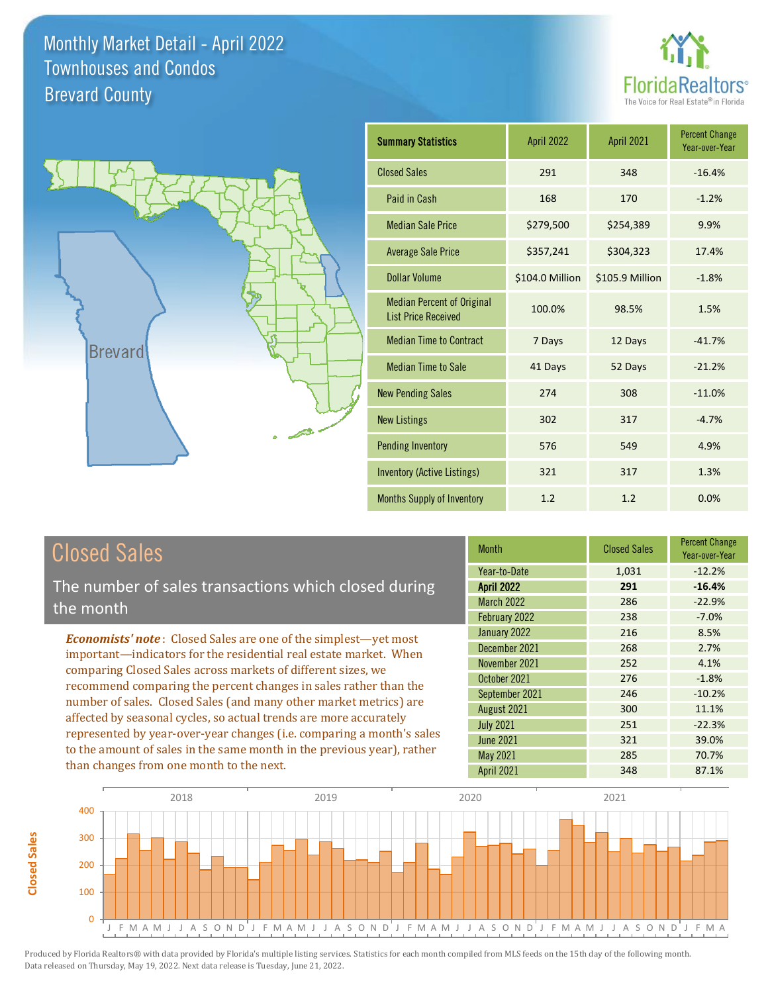



| <b>Summary Statistics</b>                                       | <b>April 2022</b> | <b>April 2021</b> | <b>Percent Change</b><br>Year-over-Year |
|-----------------------------------------------------------------|-------------------|-------------------|-----------------------------------------|
| <b>Closed Sales</b>                                             | 291               | 348               | $-16.4%$                                |
| Paid in Cash                                                    | 168               | 170               | $-1.2%$                                 |
| <b>Median Sale Price</b>                                        | \$279,500         | \$254,389         | 9.9%                                    |
| <b>Average Sale Price</b>                                       | \$357,241         | \$304,323         | 17.4%                                   |
| Dollar Volume                                                   | \$104.0 Million   | \$105.9 Million   | $-1.8%$                                 |
| <b>Median Percent of Original</b><br><b>List Price Received</b> | 100.0%            | 98.5%             | 1.5%                                    |
| <b>Median Time to Contract</b>                                  | 7 Days            | 12 Days           | $-41.7%$                                |
| <b>Median Time to Sale</b>                                      | 41 Days           | 52 Days           | $-21.2%$                                |
| <b>New Pending Sales</b>                                        | 274               | 308               | $-11.0%$                                |
| <b>New Listings</b>                                             | 302               | 317               | $-4.7%$                                 |
| <b>Pending Inventory</b>                                        | 576               | 549               | 4.9%                                    |
| Inventory (Active Listings)                                     | 321               | 317               | 1.3%                                    |
| Months Supply of Inventory                                      | 1.2               | 1.2               | 0.0%                                    |

# Closed Sales

The number of sales transactions which closed during the month

*Economists' note* : Closed Sales are one of the simplest—yet most important—indicators for the residential real estate market. When comparing Closed Sales across markets of different sizes, we recommend comparing the percent changes in sales rather than the number of sales. Closed Sales (and many other market metrics) are affected by seasonal cycles, so actual trends are more accurately represented by year-over-year changes (i.e. comparing a month's sales to the amount of sales in the same month in the previous year), rather than changes from one month to the next.

| Month             | <b>Closed Sales</b> | <b>Percent Change</b><br>Year-over-Year |
|-------------------|---------------------|-----------------------------------------|
| Year-to-Date      | 1,031               | $-12.2%$                                |
| <b>April 2022</b> | 291                 | $-16.4%$                                |
| <b>March 2022</b> | 286                 | $-22.9%$                                |
| February 2022     | 238                 | $-7.0%$                                 |
| January 2022      | 216                 | 8.5%                                    |
| December 2021     | 268                 | 2.7%                                    |
| November 2021     | 252                 | 4.1%                                    |
| October 2021      | 276                 | $-1.8%$                                 |
| September 2021    | 246                 | $-10.2%$                                |
| August 2021       | 300                 | 11.1%                                   |
| <b>July 2021</b>  | 251                 | $-22.3%$                                |
| <b>June 2021</b>  | 321                 | 39.0%                                   |
| May 2021          | 285                 | 70.7%                                   |
| April 2021        | 348                 | 87.1%                                   |

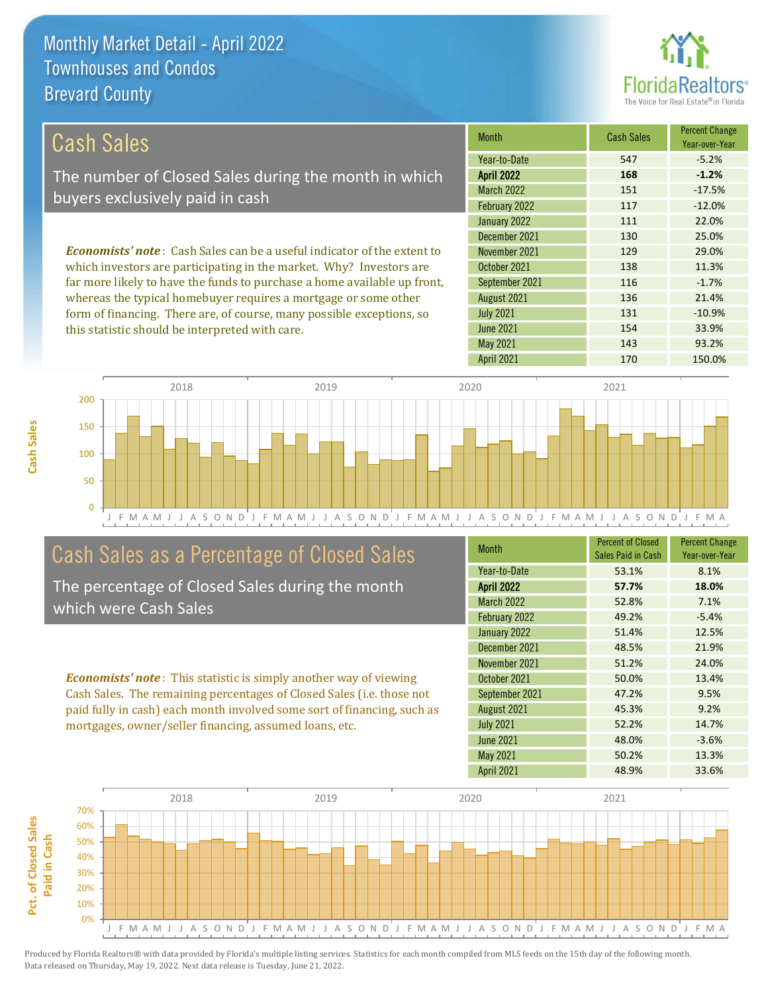this statistic should be interpreted with care.



154 33.9%

| Cash Sales                                                                     | <b>Month</b>      | <b>Cash Sales</b> | <b>Percent Change</b><br>Year-over-Year |
|--------------------------------------------------------------------------------|-------------------|-------------------|-----------------------------------------|
|                                                                                | Year-to-Date      | 547               | $-5.2%$                                 |
| The number of Closed Sales during the month in which                           | <b>April 2022</b> | 168               | $-1.2%$                                 |
| buyers exclusively paid in cash                                                | <b>March 2022</b> | 151               | $-17.5%$                                |
|                                                                                | February 2022     | 117               | $-12.0%$                                |
|                                                                                | January 2022      | 111               | 22.0%                                   |
|                                                                                | December 2021     | 130               | 25.0%                                   |
| <b>Economists' note:</b> Cash Sales can be a useful indicator of the extent to | November 2021     | 129               | 29.0%                                   |
| which investors are participating in the market. Why? Investors are            | October 2021      | 138               | 11.3%                                   |
| far more likely to have the funds to purchase a home available up front,       | September 2021    | 116               | $-1.7%$                                 |
| whereas the typical homebuyer requires a mortgage or some other                | August 2021       | 136               | 21.4%                                   |
| form of financing. There are, of course, many possible exceptions, so          | <b>July 2021</b>  | 131               | $-10.9%$                                |

J F M A M J J A S O N D J F M A M J J A S O N D J F M A M J J A S O N D J F M A M J J A S O N D J F M A 0 50 100 150 200 2018 2019 2020 2021

# Cash Sales as a Percentage of Closed Sales

The percentage of Closed Sales during the month which were Cash Sales

*Economists' note* : This statistic is simply another way of viewing Cash Sales. The remaining percentages of Closed Sales (i.e. those not paid fully in cash) each month involved some sort of financing, such as mortgages, owner/seller financing, assumed loans, etc.

| <b>Month</b>      | <b>Percent of Closed</b><br>Sales Paid in Cash | <b>Percent Change</b><br>Year-over-Year |
|-------------------|------------------------------------------------|-----------------------------------------|
| Year-to-Date      | 53.1%                                          | 8.1%                                    |
| April 2022        | 57.7%                                          | 18.0%                                   |
| <b>March 2022</b> | 52.8%                                          | 7.1%                                    |
| February 2022     | 49.2%                                          | $-5.4%$                                 |
| January 2022      | 51.4%                                          | 12.5%                                   |
| December 2021     | 48.5%                                          | 21.9%                                   |
| November 2021     | 51.2%                                          | 24.0%                                   |
| October 2021      | 50.0%                                          | 13.4%                                   |
| September 2021    | 47.2%                                          | 9.5%                                    |
| August 2021       | 45.3%                                          | 9.2%                                    |
| <b>July 2021</b>  | 52.2%                                          | 14.7%                                   |
| <b>June 2021</b>  | 48.0%                                          | $-3.6%$                                 |
| May 2021          | 50.2%                                          | 13.3%                                   |
| <b>April 2021</b> | 48.9%                                          | 33.6%                                   |

May 2021 143 143 93.2%

June 2021

April 2021 170 150.0%



**Cash Sales**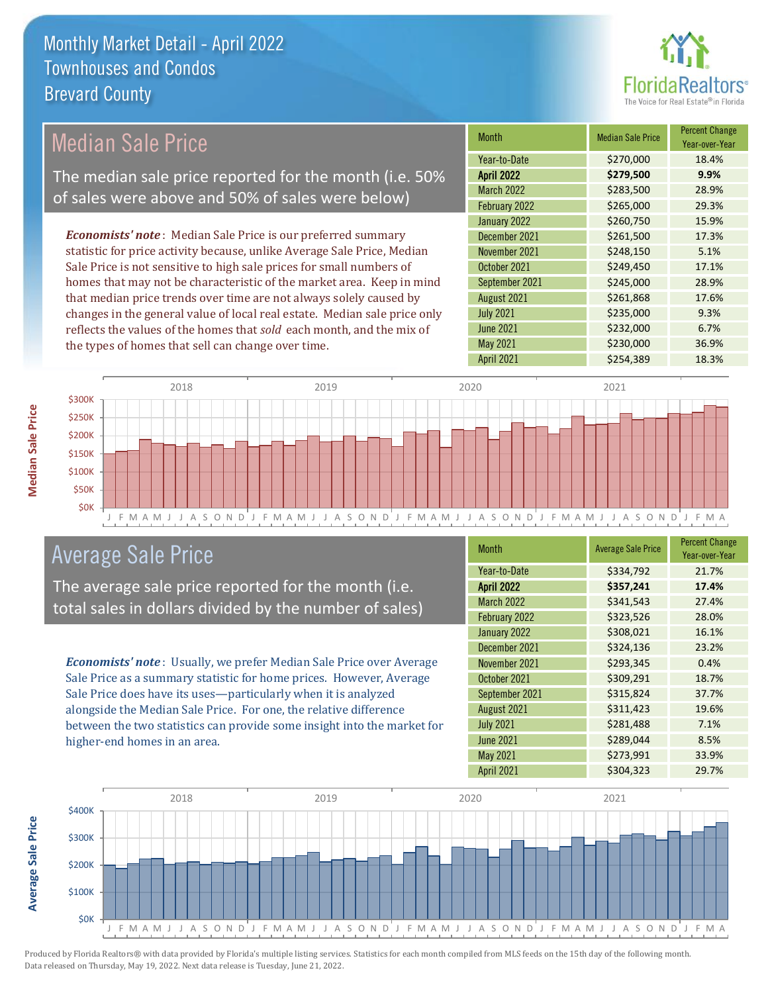

#### *Economists' note* : Median Sale Price is our preferred summary statistic for price activity because, unlike Average Sale Price, Median Sale Price is not sensitive to high sale prices for small numbers of homes that may not be characteristic of the market area. Keep in mind that median price trends over time are not always solely caused by changes in the general value of local real estate. Median sale price only reflects the values of the homes that *sold* each month, and the mix of the types of homes that sell can change over time. April 2021 **\$254,389** 18.3% June 2021 **\$232,000** \$234,000 May 2021 **\$230,000** \$230,000 36.9% August 2021 **\$261,868** 17.6% July 2021 **\$235,000** 9.3% \$260,750 15.9% December 2021 **\$261,500** 17.3% September 2021 **\$245,000** 28.9% March 2022 \$283,500 28.9% February 2022 \$265,000 29.3% November 2021 **\$248,150** \$248.150 October 2021 **\$249,450 17.1%** January 2022 Month Median Sale Price Percent Change Year-over-Year April 2022 **\$279,500 9.9%** Year-to-Date \$270,000 18.4% Median Sale Price The median sale price reported for the month (i.e. 50% of sales were above and 50% of sales were below)



# Average Sale Price

The average sale price reported for the month (i.e. total sales in dollars divided by the number of sales)

*Economists' note* : Usually, we prefer Median Sale Price over Average Sale Price as a summary statistic for home prices. However, Average Sale Price does have its uses—particularly when it is analyzed alongside the Median Sale Price. For one, the relative difference between the two statistics can provide some insight into the market for higher-end homes in an area.

| Month             | <b>Average Sale Price</b> | <b>Percent Change</b><br>Year-over-Year |
|-------------------|---------------------------|-----------------------------------------|
| Year-to-Date      | \$334,792                 | 21.7%                                   |
| <b>April 2022</b> | \$357,241                 | 17.4%                                   |
| March 2022        | \$341,543                 | 27.4%                                   |
| February 2022     | \$323,526                 | 28.0%                                   |
| January 2022      | \$308,021                 | 16.1%                                   |
| December 2021     | \$324,136                 | 23.2%                                   |
| November 2021     | \$293,345                 | 0.4%                                    |
| October 2021      | \$309,291                 | 18.7%                                   |
| September 2021    | \$315,824                 | 37.7%                                   |
| August 2021       | \$311,423                 | 19.6%                                   |
| <b>July 2021</b>  | \$281,488                 | 7.1%                                    |
| <b>June 2021</b>  | \$289,044                 | 8.5%                                    |
| May 2021          | \$273,991                 | 33.9%                                   |
| April 2021        | \$304,323                 | 29.7%                                   |



Produced by Florida Realtors® with data provided by Florida's multiple listing services. Statistics for each month compiled from MLS feeds on the 15th day of the following month. Data released on Thursday, May 19, 2022. Next data release is Tuesday, June 21, 2022.

**Average Sale Price**

**Average Sale Price**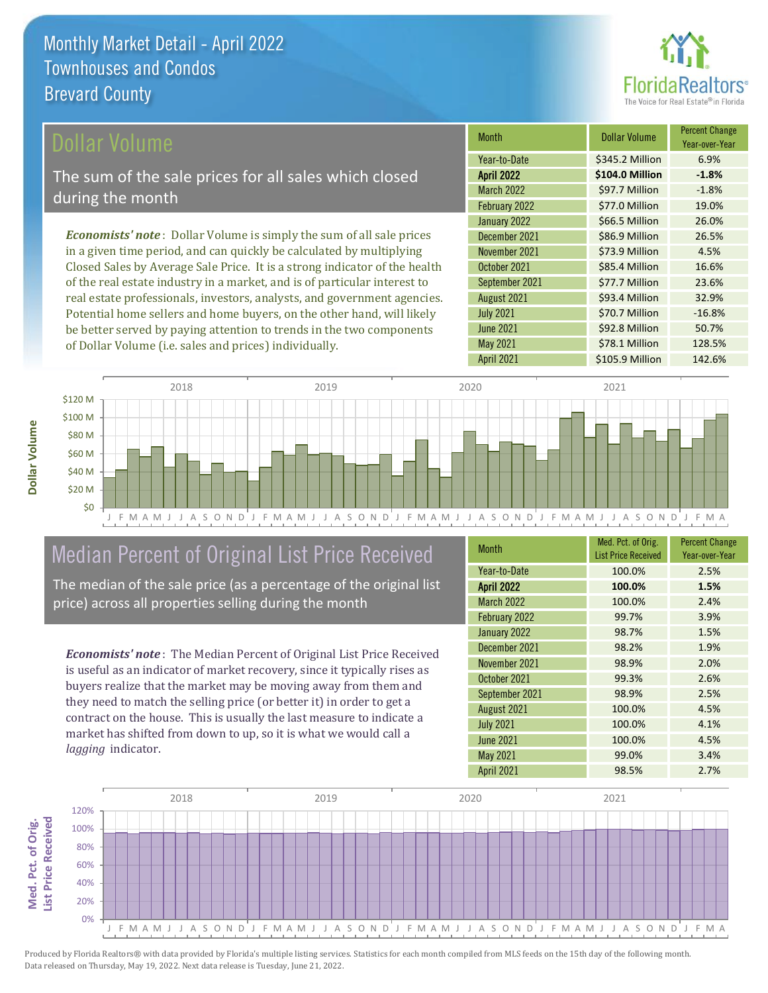

### ollar Volume

The sum of the sale prices for all sales which closed during the month

*Economists' note* : Dollar Volume is simply the sum of all sale prices in a given time period, and can quickly be calculated by multiplying Closed Sales by Average Sale Price. It is a strong indicator of the health of the real estate industry in a market, and is of particular interest to real estate professionals, investors, analysts, and government agencies. Potential home sellers and home buyers, on the other hand, will likely be better served by paying attention to trends in the two components of Dollar Volume (i.e. sales and prices) individually.

| Month             | <b>Dollar Volume</b> | <b>Percent Change</b><br>Year-over-Year |
|-------------------|----------------------|-----------------------------------------|
| Year-to-Date      | \$345.2 Million      | 6.9%                                    |
| <b>April 2022</b> | \$104.0 Million      | $-1.8%$                                 |
| March 2022        | \$97.7 Million       | $-1.8%$                                 |
| February 2022     | \$77.0 Million       | 19.0%                                   |
| January 2022      | \$66.5 Million       | 26.0%                                   |
| December 2021     | \$86.9 Million       | 26.5%                                   |
| November 2021     | \$73.9 Million       | 4.5%                                    |
| October 2021      | \$85.4 Million       | 16.6%                                   |
| September 2021    | \$77.7 Million       | 23.6%                                   |
| August 2021       | \$93.4 Million       | 32.9%                                   |
| <b>July 2021</b>  | \$70.7 Million       | $-16.8%$                                |
| <b>June 2021</b>  | \$92.8 Million       | 50.7%                                   |
| May 2021          | \$78.1 Million       | 128.5%                                  |
| April 2021        | \$105.9 Million      | 142.6%                                  |



# Median Percent of Original List Price Received

The median of the sale price (as a percentage of the original list price) across all properties selling during the month

*Economists' note* : The Median Percent of Original List Price Received is useful as an indicator of market recovery, since it typically rises as buyers realize that the market may be moving away from them and they need to match the selling price (or better it) in order to get a contract on the house. This is usually the last measure to indicate a market has shifted from down to up, so it is what we would call a *lagging* indicator.

| <b>Month</b>      | Med. Pct. of Orig.<br><b>List Price Received</b> | <b>Percent Change</b><br>Year-over-Year |
|-------------------|--------------------------------------------------|-----------------------------------------|
| Year-to-Date      | 100.0%                                           | 2.5%                                    |
| <b>April 2022</b> | 100.0%                                           | 1.5%                                    |
| <b>March 2022</b> | 100.0%                                           | 2.4%                                    |
| February 2022     | 99.7%                                            | 3.9%                                    |
| January 2022      | 98.7%                                            | 1.5%                                    |
| December 2021     | 98.2%                                            | 1.9%                                    |
| November 2021     | 98.9%                                            | 2.0%                                    |
| October 2021      | 99.3%                                            | 2.6%                                    |
| September 2021    | 98.9%                                            | 2.5%                                    |
| August 2021       | 100.0%                                           | 4.5%                                    |
| <b>July 2021</b>  | 100.0%                                           | 4.1%                                    |
| <b>June 2021</b>  | 100.0%                                           | 4.5%                                    |
| May 2021          | 99.0%                                            | 3.4%                                    |
| <b>April 2021</b> | 98.5%                                            | 2.7%                                    |

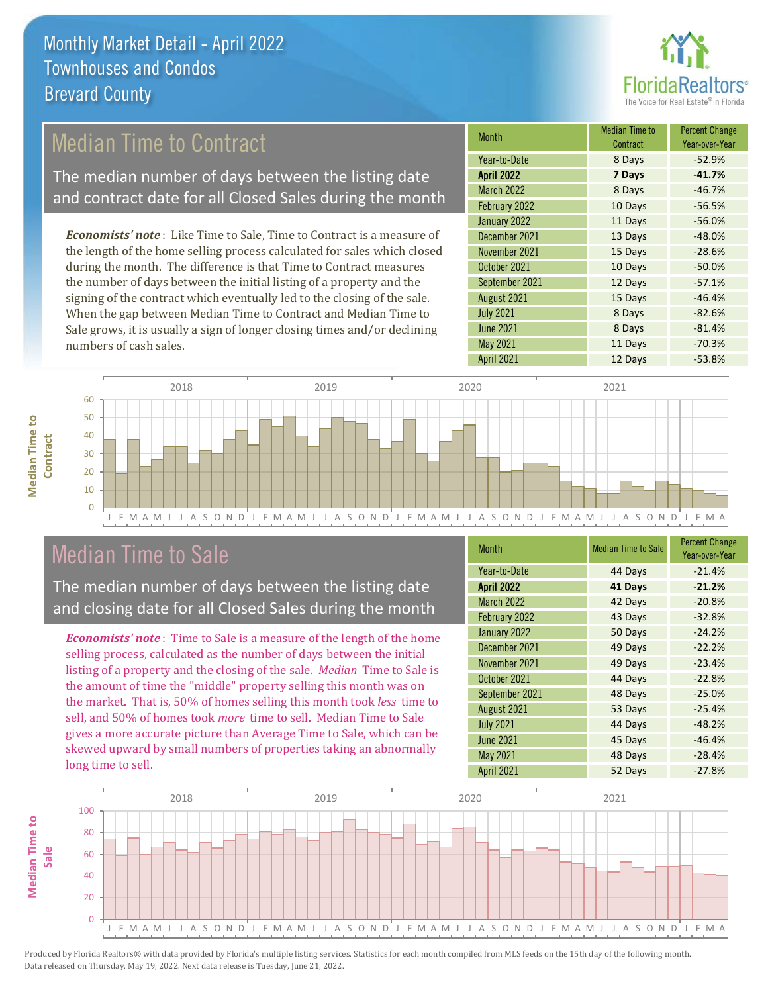

# Median Time to Contract

The median number of days between the listing date and contract date for all Closed Sales during the month

*Economists' note* : Like Time to Sale, Time to Contract is a measure of the length of the home selling process calculated for sales which closed during the month. The difference is that Time to Contract measures the number of days between the initial listing of a property and the signing of the contract which eventually led to the closing of the sale. When the gap between Median Time to Contract and Median Time to Sale grows, it is usually a sign of longer closing times and/or declining numbers of cash sales.

| <b>Month</b>      | <b>Median Time to</b><br>Contract | <b>Percent Change</b><br>Year-over-Year |
|-------------------|-----------------------------------|-----------------------------------------|
| Year-to-Date      | 8 Days                            | $-52.9%$                                |
| <b>April 2022</b> | 7 Days                            | $-41.7%$                                |
| March 2022        | 8 Days                            | $-46.7%$                                |
| February 2022     | 10 Days                           | $-56.5%$                                |
| January 2022      | 11 Days                           | $-56.0%$                                |
| December 2021     | 13 Days                           | $-48.0%$                                |
| November 2021     | 15 Days                           | $-28.6%$                                |
| October 2021      | 10 Days                           | $-50.0%$                                |
| September 2021    | 12 Days                           | $-57.1%$                                |
| August 2021       | 15 Days                           | $-46.4%$                                |
| <b>July 2021</b>  | 8 Days                            | $-82.6%$                                |
| <b>June 2021</b>  | 8 Days                            | $-81.4%$                                |
| May 2021          | 11 Days                           | $-70.3%$                                |
| <b>April 2021</b> | 12 Days                           | $-53.8%$                                |



## Median Time to Sale

**Median Time to** 

**Median Time to** 

The median number of days between the listing date and closing date for all Closed Sales during the month

*Economists' note* : Time to Sale is a measure of the length of the home selling process, calculated as the number of days between the initial listing of a property and the closing of the sale. *Median* Time to Sale is the amount of time the "middle" property selling this month was on the market. That is, 50% of homes selling this month took *less* time to sell, and 50% of homes took *more* time to sell. Median Time to Sale gives a more accurate picture than Average Time to Sale, which can be skewed upward by small numbers of properties taking an abnormally long time to sell.

| <b>Month</b>      | <b>Median Time to Sale</b> | <b>Percent Change</b><br>Year-over-Year |
|-------------------|----------------------------|-----------------------------------------|
| Year-to-Date      | 44 Days                    | $-21.4%$                                |
| <b>April 2022</b> | 41 Days                    | $-21.2%$                                |
| <b>March 2022</b> | 42 Days                    | $-20.8%$                                |
| February 2022     | 43 Days                    | $-32.8%$                                |
| January 2022      | 50 Days                    | $-24.2%$                                |
| December 2021     | 49 Days                    | $-22.2%$                                |
| November 2021     | 49 Days                    | $-23.4%$                                |
| October 2021      | 44 Days                    | $-22.8%$                                |
| September 2021    | 48 Days                    | $-25.0%$                                |
| August 2021       | 53 Days                    | $-25.4%$                                |
| <b>July 2021</b>  | 44 Days                    | $-48.2%$                                |
| <b>June 2021</b>  | 45 Days                    | $-46.4%$                                |
| May 2021          | 48 Days                    | $-28.4%$                                |
| April 2021        | 52 Days                    | $-27.8%$                                |

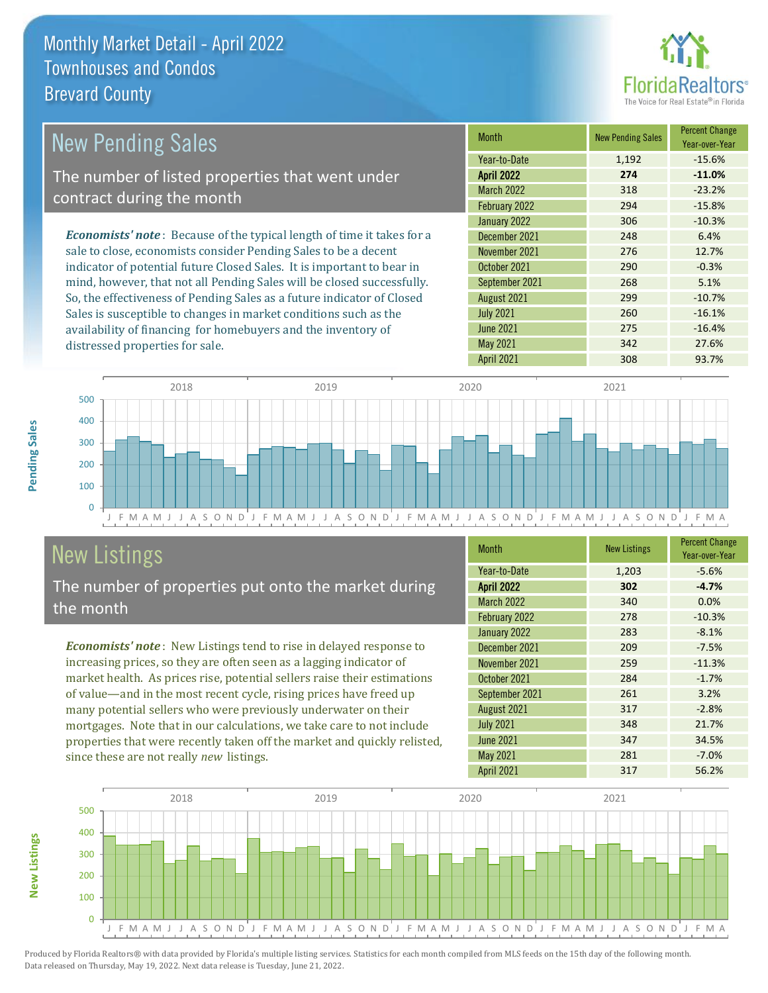distressed properties for sale.



| <b>New Pending Sales</b>                                                       | <b>Month</b>      | <b>New Pending Sales</b> | <b>Percent Change</b><br>Year-over-Year |
|--------------------------------------------------------------------------------|-------------------|--------------------------|-----------------------------------------|
|                                                                                | Year-to-Date      | 1,192                    | $-15.6%$                                |
| The number of listed properties that went under                                | <b>April 2022</b> | 274                      | $-11.0%$                                |
| contract during the month                                                      | <b>March 2022</b> | 318                      | $-23.2%$                                |
|                                                                                | February 2022     | 294                      | $-15.8%$                                |
|                                                                                | January 2022      | 306                      | $-10.3%$                                |
| <b>Economists' note</b> : Because of the typical length of time it takes for a | December 2021     | 248                      | 6.4%                                    |
| sale to close, economists consider Pending Sales to be a decent                | November 2021     | 276                      | 12.7%                                   |
| indicator of potential future Closed Sales. It is important to bear in         | October 2021      | 290                      | $-0.3%$                                 |
| mind, however, that not all Pending Sales will be closed successfully.         | September 2021    | 268                      | 5.1%                                    |
| So, the effectiveness of Pending Sales as a future indicator of Closed         | August 2021       | 299                      | $-10.7%$                                |
| Sales is susceptible to changes in market conditions such as the               | <b>July 2021</b>  | 260                      | $-16.1%$                                |



# New Listings

The number of properties put onto the market during the month

availability of financing for homebuyers and the inventory of

*Economists' note* : New Listings tend to rise in delayed response to increasing prices, so they are often seen as a lagging indicator of market health. As prices rise, potential sellers raise their estimations of value—and in the most recent cycle, rising prices have freed up many potential sellers who were previously underwater on their mortgages. Note that in our calculations, we take care to not include properties that were recently taken off the market and quickly relisted, since these are not really *new* listings.

| <b>Month</b>      | <b>New Listings</b> | <b>Percent Change</b><br>Year-over-Year |
|-------------------|---------------------|-----------------------------------------|
| Year-to-Date      | 1,203               | $-5.6%$                                 |
| <b>April 2022</b> | 302                 | $-4.7%$                                 |
| <b>March 2022</b> | 340                 | 0.0%                                    |
| February 2022     | 278                 | $-10.3%$                                |
| January 2022      | 283                 | $-8.1%$                                 |
| December 2021     | 209                 | $-7.5%$                                 |
| November 2021     | 259                 | $-11.3%$                                |
| October 2021      | 284                 | $-1.7%$                                 |
| September 2021    | 261                 | 3.2%                                    |
| August 2021       | 317                 | $-2.8%$                                 |
| <b>July 2021</b>  | 348                 | 21.7%                                   |
| <b>June 2021</b>  | 347                 | 34.5%                                   |
| <b>May 2021</b>   | 281                 | $-7.0%$                                 |
| <b>April 2021</b> | 317                 | 56.2%                                   |

June 2021 275 -16.4% May 2021 342 27.6%



Produced by Florida Realtors® with data provided by Florida's multiple listing services. Statistics for each month compiled from MLS feeds on the 15th day of the following month. Data released on Thursday, May 19, 2022. Next data release is Tuesday, June 21, 2022.

**New Listings**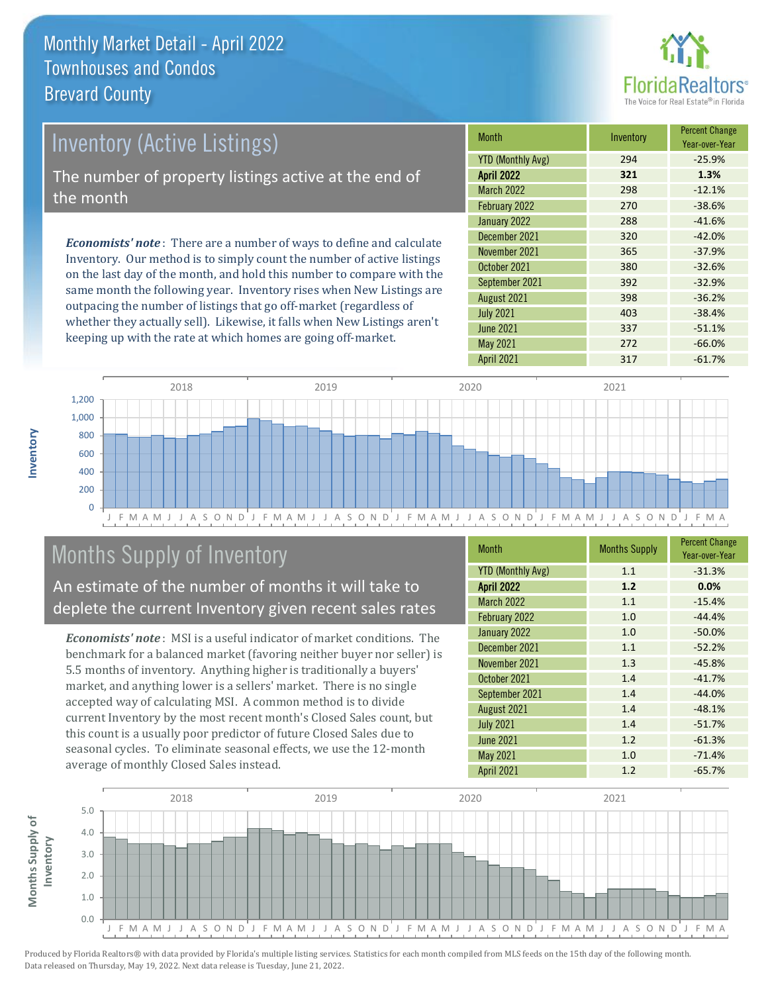

# *Economists' note* : There are a number of ways to define and calculate Inventory (Active Listings) The number of property listings active at the end of the month

Inventory. Our method is to simply count the number of active listings on the last day of the month, and hold this number to compare with the same month the following year. Inventory rises when New Listings are outpacing the number of listings that go off-market (regardless of whether they actually sell). Likewise, it falls when New Listings aren't keeping up with the rate at which homes are going off-market.

| <b>Month</b>             | Inventory | <b>Percent Change</b><br>Year-over-Year |
|--------------------------|-----------|-----------------------------------------|
| <b>YTD (Monthly Avg)</b> | 294       | $-25.9%$                                |
| <b>April 2022</b>        | 321       | 1.3%                                    |
| <b>March 2022</b>        | 298       | $-12.1%$                                |
| February 2022            | 270       | $-38.6%$                                |
| January 2022             | 288       | $-41.6%$                                |
| December 2021            | 320       | $-42.0%$                                |
| November 2021            | 365       | $-37.9%$                                |
| October 2021             | 380       | $-32.6%$                                |
| September 2021           | 392       | $-32.9%$                                |
| August 2021              | 398       | $-36.2%$                                |
| <b>July 2021</b>         | 403       | $-38.4%$                                |
| <b>June 2021</b>         | 337       | $-51.1%$                                |
| <b>May 2021</b>          | 272       | $-66.0%$                                |
| April 2021               | 317       | $-61.7%$                                |



# Months Supply of Inventory

An estimate of the number of months it will take to deplete the current Inventory given recent sales rates

*Economists' note* : MSI is a useful indicator of market conditions. The benchmark for a balanced market (favoring neither buyer nor seller) is 5.5 months of inventory. Anything higher is traditionally a buyers' market, and anything lower is a sellers' market. There is no single accepted way of calculating MSI. A common method is to divide current Inventory by the most recent month's Closed Sales count, but this count is a usually poor predictor of future Closed Sales due to seasonal cycles. To eliminate seasonal effects, we use the 12-month average of monthly Closed Sales instead.

| <b>Month</b>             | <b>Months Supply</b> | <b>Percent Change</b><br>Year-over-Year |
|--------------------------|----------------------|-----------------------------------------|
| <b>YTD (Monthly Avg)</b> | 1.1                  | $-31.3%$                                |
| <b>April 2022</b>        | 1.2                  | 0.0%                                    |
| <b>March 2022</b>        | 1.1                  | $-15.4%$                                |
| February 2022            | 1.0                  | $-44.4%$                                |
| January 2022             | 1.0                  | $-50.0%$                                |
| December 2021            | 1.1                  | $-52.2%$                                |
| November 2021            | 1.3                  | $-45.8%$                                |
| October 2021             | 1.4                  | $-41.7%$                                |
| September 2021           | 1.4                  | $-44.0%$                                |
| August 2021              | 1.4                  | $-48.1%$                                |
| <b>July 2021</b>         | 1.4                  | $-51.7%$                                |
| <b>June 2021</b>         | 1.2                  | $-61.3%$                                |
| <b>May 2021</b>          | 1.0                  | $-71.4%$                                |
| <b>April 2021</b>        | 1.2                  | $-65.7%$                                |

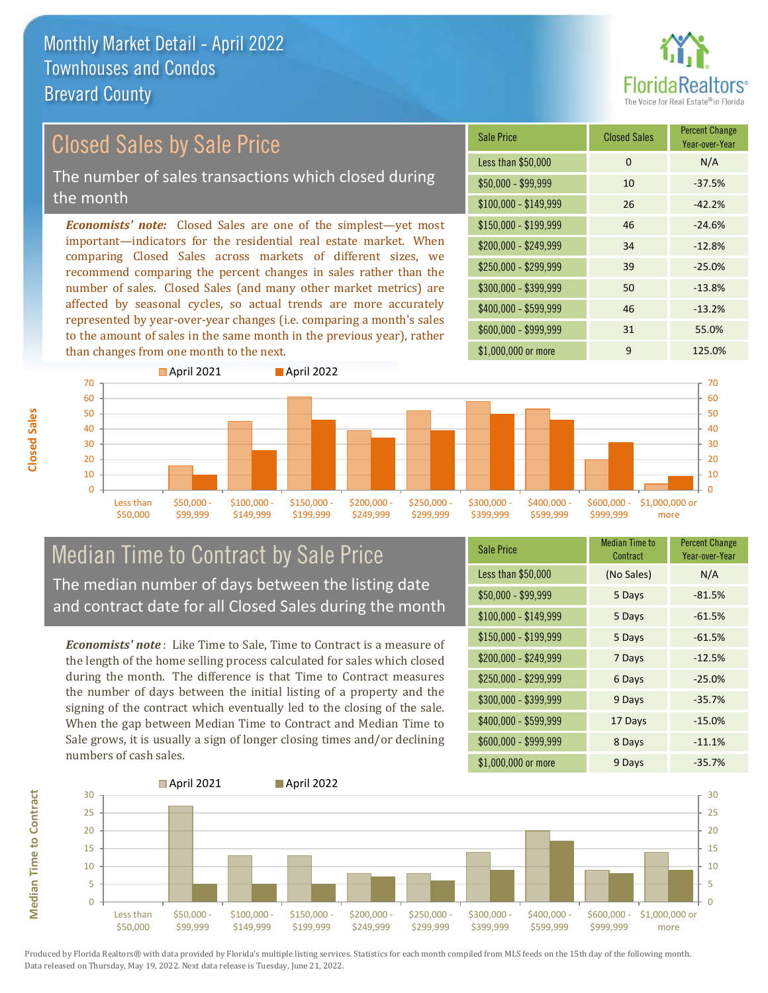

#### \$100,000 - \$149,999 26 -42.2% Sale Price Closed Sales Percent Change Year-over-Year Less than  $$50,000$  0 0 N/A \$50,000 - \$99,999 10 -37.5% \$150,000 - \$199,999 46 -24.6% \$200,000 - \$249,999 34 -12.8% \$400,000 - \$599,999 46 -13.2% \$600,000 - \$999,999 31 55.0% *Economists' note:* Closed Sales are one of the simplest—yet most important—indicators for the residential real estate market. When comparing Closed Sales across markets of different sizes, we recommend comparing the percent changes in sales rather than the number of sales. Closed Sales (and many other market metrics) are affected by seasonal cycles, so actual trends are more accurately represented by year-over-year changes (i.e. comparing a month's sales to the amount of sales in the same month in the previous year), rather than changes from one month to the next. \$1,000,000 or more 9 125.0% \$250,000 - \$299,999 39 -25.0% \$300,000 - \$399,999 50 -13.8% 70 **April 2021 April 2022** 70 Closed Sales by Sale Price The number of sales transactions which closed during the month



### Median Time to Contract by Sale Price The median number of days between the listing date and contract date for all Closed Sales during the month

*Economists' note* : Like Time to Sale, Time to Contract is a measure of the length of the home selling process calculated for sales which closed during the month. The difference is that Time to Contract measures the number of days between the initial listing of a property and the signing of the contract which eventually led to the closing of the sale. When the gap between Median Time to Contract and Median Time to Sale grows, it is usually a sign of longer closing times and/or declining numbers of cash sales.

| Sale Price            | <b>Median Time to</b><br>Contract | <b>Percent Change</b><br>Year-over-Year |
|-----------------------|-----------------------------------|-----------------------------------------|
| Less than \$50,000    | (No Sales)                        | N/A                                     |
| $$50,000 - $99,999$   | 5 Days                            | $-81.5%$                                |
| $$100,000 - $149,999$ | 5 Days                            | $-61.5%$                                |
| \$150,000 - \$199,999 | 5 Days                            | $-61.5%$                                |
| \$200,000 - \$249,999 | 7 Days                            | $-12.5%$                                |
| \$250,000 - \$299,999 | 6 Days                            | $-25.0%$                                |
| \$300,000 - \$399,999 | 9 Days                            | $-35.7%$                                |
| \$400,000 - \$599,999 | 17 Days                           | $-15.0%$                                |
| \$600,000 - \$999,999 | 8 Days                            | $-11.1%$                                |
| \$1,000,000 or more   | 9 Days                            | $-35.7%$                                |



**Closed Sales**

**Median Time to Contract Median Time to Contract**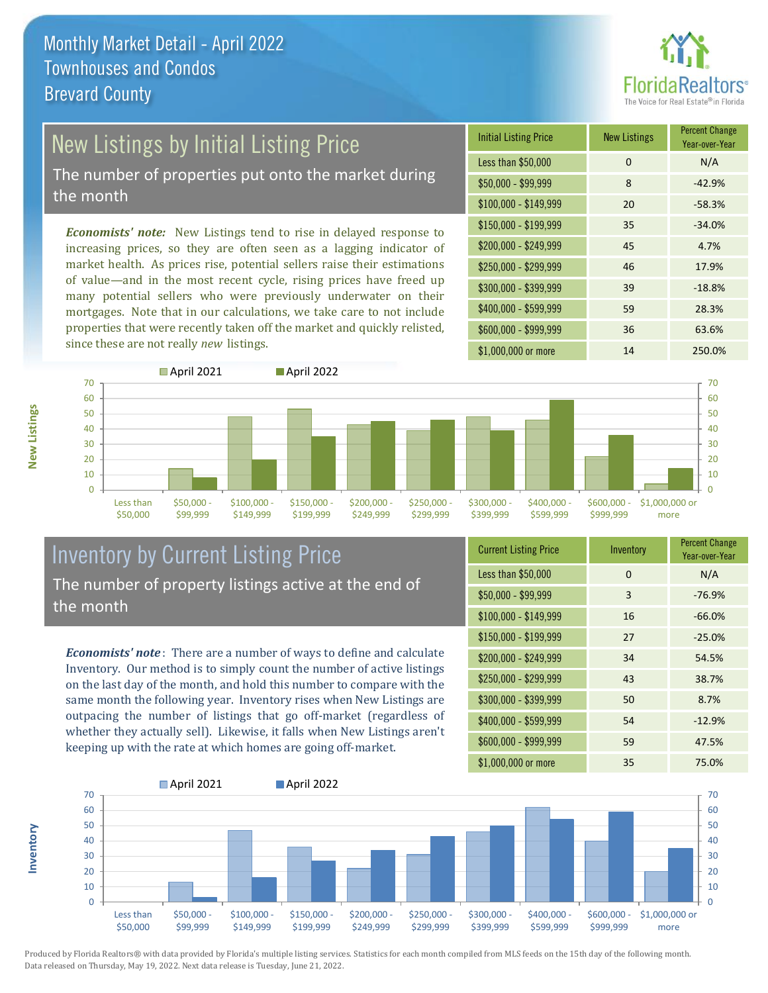

# New Listings by Initial Listing Price

The number of properties put onto the market during the month

*Economists' note:* New Listings tend to rise in delayed response to increasing prices, so they are often seen as a lagging indicator of market health. As prices rise, potential sellers raise their estimations of value—and in the most recent cycle, rising prices have freed up many potential sellers who were previously underwater on their mortgages. Note that in our calculations, we take care to not include properties that were recently taken off the market and quickly relisted, since these are not really *new* listings.





### Inventory by Current Listing Price The number of property listings active at the end of the month

*Economists' note* : There are a number of ways to define and calculate Inventory. Our method is to simply count the number of active listings on the last day of the month, and hold this number to compare with the same month the following year. Inventory rises when New Listings are outpacing the number of listings that go off-market (regardless of whether they actually sell). Likewise, it falls when New Listings aren't keeping up with the rate at which homes are going off-market.

| <b>Current Listing Price</b> | Inventory | <b>Percent Change</b><br>Year-over-Year |
|------------------------------|-----------|-----------------------------------------|
| Less than \$50,000           | $\Omega$  | N/A                                     |
| $$50,000 - $99,999$          | 3         | $-76.9%$                                |
| $$100,000 - $149,999$        | 16        | $-66.0%$                                |
| $$150,000 - $199,999$        | 27        | $-25.0%$                                |
| \$200,000 - \$249,999        | 34        | 54.5%                                   |
| \$250,000 - \$299,999        | 43        | 38.7%                                   |
| \$300,000 - \$399,999        | 50        | 8.7%                                    |
| \$400,000 - \$599,999        | 54        | $-12.9%$                                |
| \$600,000 - \$999,999        | 59        | 47.5%                                   |
| \$1,000,000 or more          | 35        | 75.0%                                   |



Produced by Florida Realtors® with data provided by Florida's multiple listing services. Statistics for each month compiled from MLS feeds on the 15th day of the following month. Data released on Thursday, May 19, 2022. Next data release is Tuesday, June 21, 2022.

**Inventory**